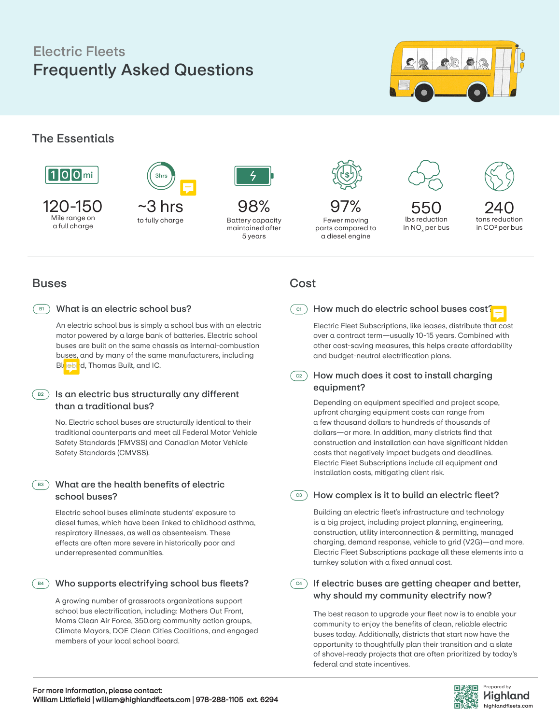# Frequently Asked Questions Electric Fleets



## The Essentials



120-150 Mile range on a full charge



to fully charge

98% Battery capacity maintained after 5 years



Fewer moving parts compared to a diesel engine



in NO<sub>x</sub> per bus



## **Buses**

#### What is an electric school bus?  $\overline{B1}$ )

An electric school bus is simply a school bus with an electric motor powered by a large bank of batteries. Electric school buses are built on the same chassis as internal-combustion buses, and by many of the same manufacturers, including Bluebird, Thomas Built, and IC.

## $\overline{\mathsf{B}}$  ) Is an electric bus structurally any different than a traditional bus?

No. Electric school buses are structurally identical to their traditional counterparts and meet all Federal Motor Vehicle Safety Standards (FMVSS) and Canadian Motor Vehicle Safety Standards (CMVSS).

## $\mathsf{B3}$  What are the health benefits of electric school buses?

Electric school buses eliminate students' exposure to diesel fumes, which have been linked to childhood asthma, respiratory illnesses, as well as absenteeism. These effects are often more severe in historically poor and underrepresented communities.

## $\, \mathbb{B}^{4} \,$  Who supports electrifying school bus fleets?

A growing number of grassroots organizations support school bus electrification, including: Mothers Out Front, Moms Clean Air Force, 350.org community action groups, Climate Mayors, DOE Clean Cities Coalitions, and engaged members of your local school board.

## Cost

## $\circ$  ) How much do electric school buses cost?

Electric Fleet Subscriptions, like leases, distribute that cost over a contract term—usually 10-15 years. Combined with other cost-saving measures, this helps create affordability and budget-neutral electrification plans.

### How much does it cost to install charging equipment?  $\degree$  C2  $\degree$

Depending on equipment specified and project scope, upfront charging equipment costs can range from a few thousand dollars to hundreds of thousands of dollars—or more. In addition, many districts find that construction and installation can have significant hidden costs that negatively impact budgets and deadlines. Electric Fleet Subscriptions include all equipment and installation costs, mitigating client risk.

## $\circ$  ) How complex is it to build an electric fleet?

Building an electric fleet's infrastructure and technology is a big project, including project planning, engineering, construction, utility interconnection & permitting, managed charging, demand response, vehicle to grid (V2G)—and more. Electric Fleet Subscriptions package all these elements into a turnkey solution with a fixed annual cost.

 $\epsilon$ <sup>2</sup>) If electric buses are getting cheaper and better, why should my community electrify now?

The best reason to upgrade your fleet now is to enable your community to enjoy the benefits of clean, reliable electric buses today. Additionally, districts that start now have the opportunity to thoughtfully plan their transition and a slate of shovel-ready projects that are often prioritized by today's federal and state incentives.